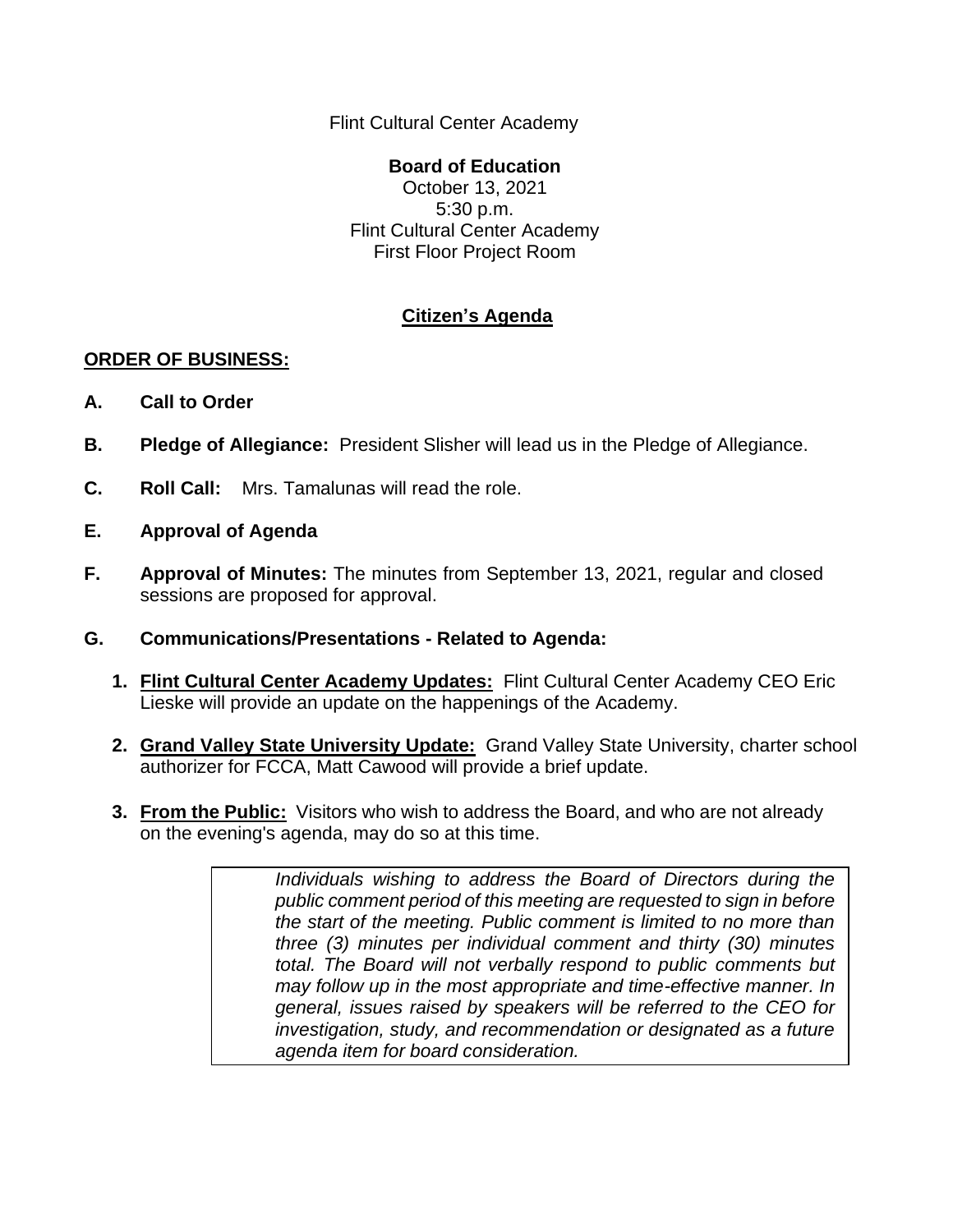Flint Cultural Center Academy

## **Board of Education** October 13, 2021 5:30 p.m. Flint Cultural Center Academy First Floor Project Room

## **Citizen's Agenda**

## **ORDER OF BUSINESS:**

- **A. Call to Order**
- **B. Pledge of Allegiance:** President Slisher will lead us in the Pledge of Allegiance.
- **C. Roll Call:** Mrs. Tamalunas will read the role.
- **E. Approval of Agenda**
- **F. Approval of Minutes:** The minutes from September 13, 2021, regular and closed sessions are proposed for approval.
- **G. Communications/Presentations - Related to Agenda:**
	- **1. Flint Cultural Center Academy Updates:** Flint Cultural Center Academy CEO Eric Lieske will provide an update on the happenings of the Academy.
	- **2. Grand Valley State University Update:** Grand Valley State University, charter school authorizer for FCCA, Matt Cawood will provide a brief update.
	- **3. From the Public:** Visitors who wish to address the Board, and who are not already on the evening's agenda, may do so at this time.

*Individuals wishing to address the Board of Directors during the public comment period of this meeting are requested to sign in before the start of the meeting. Public comment is limited to no more than three (3) minutes per individual comment and thirty (30) minutes total. The Board will not verbally respond to public comments but may follow up in the most appropriate and time-effective manner. In general, issues raised by speakers will be referred to the CEO for investigation, study, and recommendation or designated as a future agenda item for board consideration.*